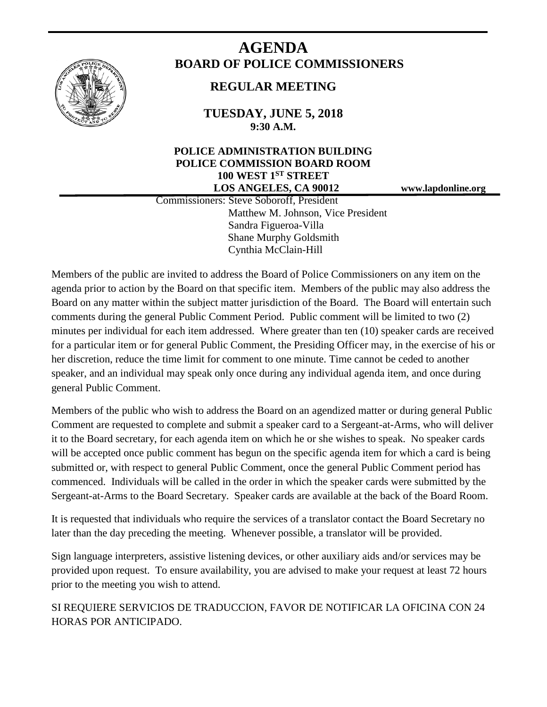

# **AGENDA BOARD OF POLICE COMMISSIONERS**

## **REGULAR MEETING**

**TUESDAY, JUNE 5, 2018 9:30 A.M.**

### **POLICE ADMINISTRATION BUILDING POLICE COMMISSION BOARD ROOM 100 WEST 1ST STREET LOS ANGELES, CA 90012 www.lapdonline.org**

 Commissioners: Steve Soboroff, President Matthew M. Johnson, Vice President Sandra Figueroa-Villa Shane Murphy Goldsmith Cynthia McClain-Hill

Members of the public are invited to address the Board of Police Commissioners on any item on the agenda prior to action by the Board on that specific item. Members of the public may also address the Board on any matter within the subject matter jurisdiction of the Board. The Board will entertain such comments during the general Public Comment Period. Public comment will be limited to two (2) minutes per individual for each item addressed. Where greater than ten (10) speaker cards are received for a particular item or for general Public Comment, the Presiding Officer may, in the exercise of his or her discretion, reduce the time limit for comment to one minute. Time cannot be ceded to another speaker, and an individual may speak only once during any individual agenda item, and once during general Public Comment.

Members of the public who wish to address the Board on an agendized matter or during general Public Comment are requested to complete and submit a speaker card to a Sergeant-at-Arms, who will deliver it to the Board secretary, for each agenda item on which he or she wishes to speak. No speaker cards will be accepted once public comment has begun on the specific agenda item for which a card is being submitted or, with respect to general Public Comment, once the general Public Comment period has commenced. Individuals will be called in the order in which the speaker cards were submitted by the Sergeant-at-Arms to the Board Secretary. Speaker cards are available at the back of the Board Room.

It is requested that individuals who require the services of a translator contact the Board Secretary no later than the day preceding the meeting. Whenever possible, a translator will be provided.

Sign language interpreters, assistive listening devices, or other auxiliary aids and/or services may be provided upon request. To ensure availability, you are advised to make your request at least 72 hours prior to the meeting you wish to attend.

SI REQUIERE SERVICIOS DE TRADUCCION, FAVOR DE NOTIFICAR LA OFICINA CON 24 HORAS POR ANTICIPADO.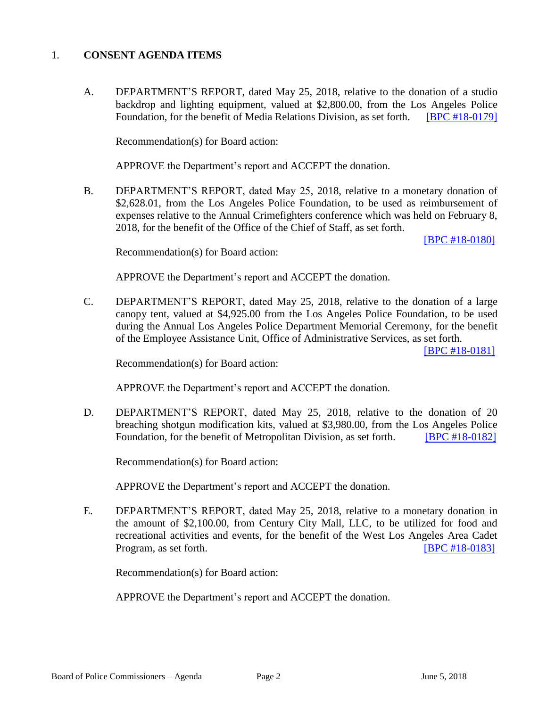#### 1. **CONSENT AGENDA ITEMS**

A. DEPARTMENT'S REPORT, dated May 25, 2018, relative to the donation of a studio backdrop and lighting equipment, valued at \$2,800.00, from the Los Angeles Police Foundation, for the benefit of Media Relations Division, as set forth. [\[BPC #18-0179\]](http://www.lapdpolicecom.lacity.org/060518/BPC_18-0179.pdf)

Recommendation(s) for Board action:

APPROVE the Department's report and ACCEPT the donation.

B. DEPARTMENT'S REPORT, dated May 25, 2018, relative to a monetary donation of \$2,628.01, from the Los Angeles Police Foundation, to be used as reimbursement of expenses relative to the Annual Crimefighters conference which was held on February 8, 2018, for the benefit of the Office of the Chief of Staff, as set forth.

[\[BPC #18-0180\]](http://www.lapdpolicecom.lacity.org/060518/BPC_18-0180.pdf)

Recommendation(s) for Board action:

APPROVE the Department's report and ACCEPT the donation.

C. DEPARTMENT'S REPORT, dated May 25, 2018, relative to the donation of a large canopy tent, valued at \$4,925.00 from the Los Angeles Police Foundation, to be used during the Annual Los Angeles Police Department Memorial Ceremony, for the benefit of the Employee Assistance Unit, Office of Administrative Services, as set forth.

[\[BPC #18-0181\]](http://www.lapdpolicecom.lacity.org/060518/BPC_18-0181.pdf)

Recommendation(s) for Board action:

APPROVE the Department's report and ACCEPT the donation.

D. DEPARTMENT'S REPORT, dated May 25, 2018, relative to the donation of 20 breaching shotgun modification kits, valued at \$3,980.00, from the Los Angeles Police Foundation, for the benefit of Metropolitan Division, as set forth. [\[BPC #18-0182\]](http://www.lapdpolicecom.lacity.org/060518/BPC_18-0182.pdf)

Recommendation(s) for Board action:

APPROVE the Department's report and ACCEPT the donation.

E. DEPARTMENT'S REPORT, dated May 25, 2018, relative to a monetary donation in the amount of \$2,100.00, from Century City Mall, LLC, to be utilized for food and recreational activities and events, for the benefit of the West Los Angeles Area Cadet Program, as set forth. **IDPC #18-0183** 

Recommendation(s) for Board action:

APPROVE the Department's report and ACCEPT the donation.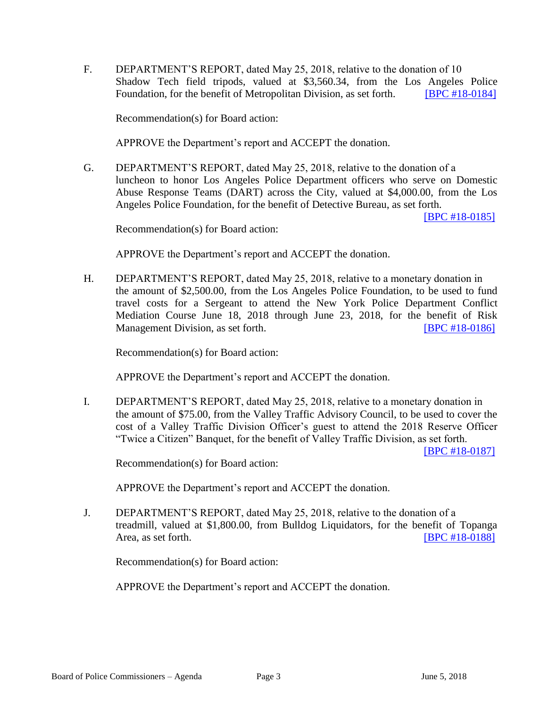F. DEPARTMENT'S REPORT, dated May 25, 2018, relative to the donation of 10 Shadow Tech field tripods, valued at \$3,560.34, from the Los Angeles Police Foundation, for the benefit of Metropolitan Division, as set forth. **[\[BPC #18-0184\]](http://www.lapdpolicecom.lacity.org/060518/BPC_18-0184.pdf)** 

Recommendation(s) for Board action:

APPROVE the Department's report and ACCEPT the donation.

G. DEPARTMENT'S REPORT, dated May 25, 2018, relative to the donation of a luncheon to honor Los Angeles Police Department officers who serve on Domestic Abuse Response Teams (DART) across the City, valued at \$4,000.00, from the Los Angeles Police Foundation, for the benefit of Detective Bureau, as set forth.

[\[BPC #18-0185\]](http://www.lapdpolicecom.lacity.org/060518/BPC_18-0185.pdf)

Recommendation(s) for Board action:

APPROVE the Department's report and ACCEPT the donation.

H. DEPARTMENT'S REPORT, dated May 25, 2018, relative to a monetary donation in the amount of \$2,500.00, from the Los Angeles Police Foundation, to be used to fund travel costs for a Sergeant to attend the New York Police Department Conflict Mediation Course June 18, 2018 through June 23, 2018, for the benefit of Risk Management Division, as set forth. [\[BPC #18-0186\]](http://www.lapdpolicecom.lacity.org/060518/BPC_18-0186.pdf)

Recommendation(s) for Board action:

APPROVE the Department's report and ACCEPT the donation.

I. DEPARTMENT'S REPORT, dated May 25, 2018, relative to a monetary donation in the amount of \$75.00, from the Valley Traffic Advisory Council, to be used to cover the cost of a Valley Traffic Division Officer's guest to attend the 2018 Reserve Officer "Twice a Citizen" Banquet, for the benefit of Valley Traffic Division, as set forth.

[\[BPC #18-0187\]](http://www.lapdpolicecom.lacity.org/060518/BPC_18-0187.pdf)

Recommendation(s) for Board action:

APPROVE the Department's report and ACCEPT the donation.

J. DEPARTMENT'S REPORT, dated May 25, 2018, relative to the donation of a treadmill, valued at \$1,800.00, from Bulldog Liquidators, for the benefit of Topanga Area, as set forth. **IBPC #18-01881** 

Recommendation(s) for Board action:

APPROVE the Department's report and ACCEPT the donation.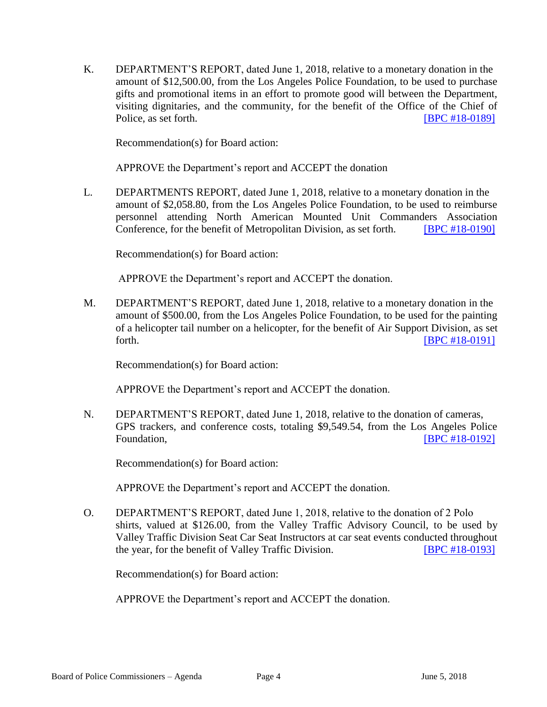K. DEPARTMENT'S REPORT, dated June 1, 2018, relative to a monetary donation in the amount of \$12,500.00, from the Los Angeles Police Foundation, to be used to purchase gifts and promotional items in an effort to promote good will between the Department, visiting dignitaries, and the community, for the benefit of the Office of the Chief of Police, as set forth. **[\[BPC #18-0189\]](http://www.lapdpolicecom.lacity.org/060518/BPC_18-0189.pdf)** 

Recommendation(s) for Board action:

APPROVE the Department's report and ACCEPT the donation

L. DEPARTMENTS REPORT, dated June 1, 2018, relative to a monetary donation in the amount of \$2,058.80, from the Los Angeles Police Foundation, to be used to reimburse personnel attending North American Mounted Unit Commanders Association Conference, for the benefit of Metropolitan Division, as set forth. **[\[BPC #18-0190\]](http://www.lapdpolicecom.lacity.org/060518/BPC_18-0190.pdf)** 

Recommendation(s) for Board action:

APPROVE the Department's report and ACCEPT the donation.

M. DEPARTMENT'S REPORT, dated June 1, 2018, relative to a monetary donation in the amount of \$500.00, from the Los Angeles Police Foundation, to be used for the painting of a helicopter tail number on a helicopter, for the benefit of Air Support Division, as set forth. **EXECUTE: EXECUTE: EXECUTE: EXECUTE: EXECUTE: EXECUTE: EXECUTE: EXECUTE: EXECUTE: EXECUTE: EXECUTE: EXECUTE: EXECUTE: EXECUTE: EXECUTE: EXECUTE: EXECUTE: EXECUTE: EXECUTE: EXECU** 

Recommendation(s) for Board action:

APPROVE the Department's report and ACCEPT the donation.

N. DEPARTMENT'S REPORT, dated June 1, 2018, relative to the donation of cameras, GPS trackers, and conference costs, totaling \$9,549.54, from the Los Angeles Police Foundation, **Example 2018 Foundation**, **EXAMPLE 20192 Foundation**, **EXAMPLE 20192 Foundation** 

Recommendation(s) for Board action:

APPROVE the Department's report and ACCEPT the donation.

O. DEPARTMENT'S REPORT, dated June 1, 2018, relative to the donation of 2 Polo shirts, valued at \$126.00, from the Valley Traffic Advisory Council, to be used by Valley Traffic Division Seat Car Seat Instructors at car seat events conducted throughout the year, for the benefit of Valley Traffic Division. [\[BPC #18-0193\]](http://www.lapdpolicecom.lacity.org/060518/BPC_18-0193.pdf)

Recommendation(s) for Board action:

APPROVE the Department's report and ACCEPT the donation.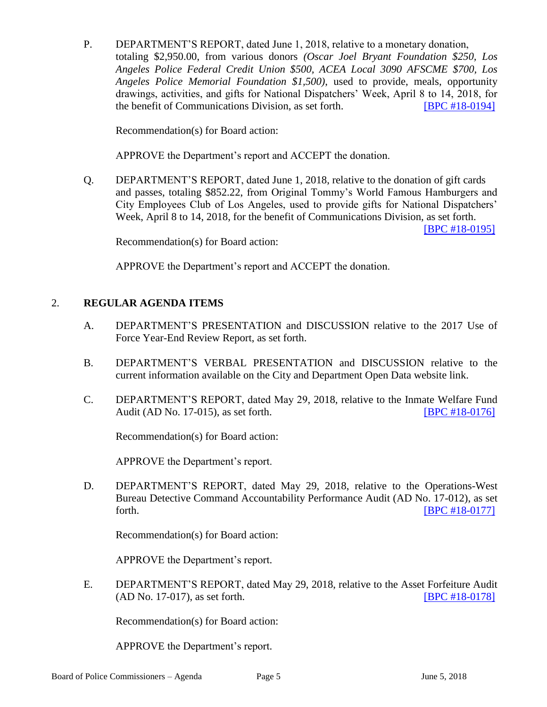P. DEPARTMENT'S REPORT, dated June 1, 2018, relative to a monetary donation, totaling \$2,950.00, from various donors *(Oscar Joel Bryant Foundation \$250, Los Angeles Police Federal Credit Union \$500, ACEA Local 3090 AFSCME \$700, Los Angeles Police Memorial Foundation \$1,500)*, used to provide, meals, opportunity drawings, activities, and gifts for National Dispatchers' Week, April 8 to 14, 2018, for the benefit of Communications Division, as set forth. **IBPC #18-01941** 

Recommendation(s) for Board action:

APPROVE the Department's report and ACCEPT the donation.

Q. DEPARTMENT'S REPORT, dated June 1, 2018, relative to the donation of gift cards and passes, totaling \$852.22, from Original Tommy's World Famous Hamburgers and City Employees Club of Los Angeles, used to provide gifts for National Dispatchers' Week, April 8 to 14, 2018, for the benefit of Communications Division, as set forth.

[\[BPC #18-0195\]](http://www.lapdpolicecom.lacity.org/060518/BPC_18-0195.pdf)

Recommendation(s) for Board action:

APPROVE the Department's report and ACCEPT the donation.

#### 2. **REGULAR AGENDA ITEMS**

- A. DEPARTMENT'S PRESENTATION and DISCUSSION relative to the 2017 Use of Force Year-End Review Report, as set forth.
- B. DEPARTMENT'S VERBAL PRESENTATION and DISCUSSION relative to the current information available on the City and Department Open Data website link.
- C. DEPARTMENT'S REPORT, dated May 29, 2018, relative to the Inmate Welfare Fund Audit (AD No. 17-015), as set forth. [\[BPC #18-0176\]](http://www.lapdpolicecom.lacity.org/060518/BPC_18-0176.pdf)

Recommendation(s) for Board action:

APPROVE the Department's report.

D. DEPARTMENT'S REPORT, dated May 29, 2018, relative to the Operations-West Bureau Detective Command Accountability Performance Audit (AD No. 17-012), as set forth. [\[BPC #18-0177\]](http://www.lapdpolicecom.lacity.org/060518/BPC_18-0177.pdf)

Recommendation(s) for Board action:

APPROVE the Department's report.

E. DEPARTMENT'S REPORT, dated May 29, 2018, relative to the Asset Forfeiture Audit (AD No. 17-017), as set forth. [\[BPC #18-0178\]](http://www.lapdpolicecom.lacity.org/060518/BPC_18-0178.pdf)

Recommendation(s) for Board action:

APPROVE the Department's report.